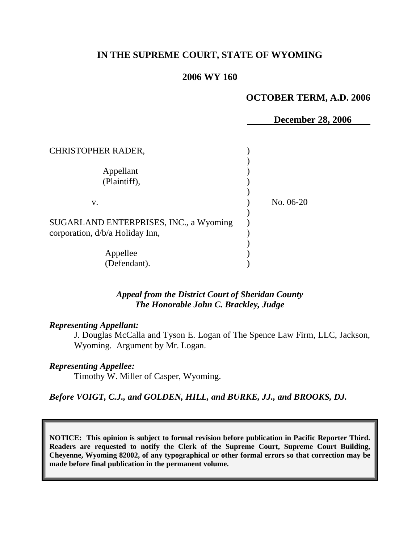# **IN THE SUPREME COURT, STATE OF WYOMING**

## **2006 WY 160**

#### **OCTOBER TERM, A.D. 2006**

**December 28, 2006** CHRISTOPHER RADER, ) ) Appellant (1) (Plaintiff), ) ) v. No. 06-20 ) SUGARLAND ENTERPRISES, INC., a Wyoming ) corporation,  $d/b/a$  Holiday Inn, ) Appellee (b) (Defendant). )

# *Appeal from the District Court of Sheridan County The Honorable John C. Brackley, Judge*

#### *Representing Appellant:*

J. Douglas McCalla and Tyson E. Logan of The Spence Law Firm, LLC, Jackson, Wyoming. Argument by Mr. Logan.

#### *Representing Appellee:*

Timothy W. Miller of Casper, Wyoming.

## *Before VOIGT, C.J., and GOLDEN, HILL, and BURKE, JJ., and BROOKS, DJ.*

**NOTICE: This opinion is subject to formal revision before publication in Pacific Reporter Third. Readers are requested to notify the Clerk of the Supreme Court, Supreme Court Building, Cheyenne, Wyoming 82002, of any typographical or other formal errors so that correction may be made before final publication in the permanent volume.**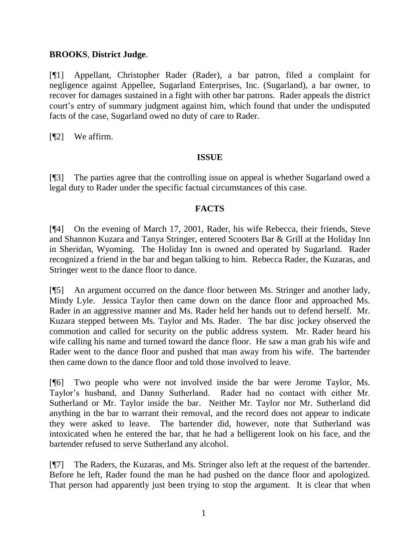## **BROOKS**, **District Judge**.

[¶1] Appellant, Christopher Rader (Rader), a bar patron, filed a complaint for negligence against Appellee, Sugarland Enterprises, Inc. (Sugarland), a bar owner, to recover for damages sustained in a fight with other bar patrons. Rader appeals the district court's entry of summary judgment against him, which found that under the undisputed facts of the case, Sugarland owed no duty of care to Rader.

[¶2] We affirm.

## **ISSUE**

[¶3] The parties agree that the controlling issue on appeal is whether Sugarland owed a legal duty to Rader under the specific factual circumstances of this case.

## **FACTS**

[¶4] On the evening of March 17, 2001, Rader, his wife Rebecca, their friends, Steve and Shannon Kuzara and Tanya Stringer, entered Scooters Bar & Grill at the Holiday Inn in Sheridan, Wyoming. The Holiday Inn is owned and operated by Sugarland. Rader recognized a friend in the bar and began talking to him. Rebecca Rader, the Kuzaras, and Stringer went to the dance floor to dance.

[¶5] An argument occurred on the dance floor between Ms. Stringer and another lady, Mindy Lyle. Jessica Taylor then came down on the dance floor and approached Ms. Rader in an aggressive manner and Ms. Rader held her hands out to defend herself. Mr. Kuzara stepped between Ms. Taylor and Ms. Rader. The bar disc jockey observed the commotion and called for security on the public address system. Mr. Rader heard his wife calling his name and turned toward the dance floor. He saw a man grab his wife and Rader went to the dance floor and pushed that man away from his wife. The bartender then came down to the dance floor and told those involved to leave.

[¶6] Two people who were not involved inside the bar were Jerome Taylor, Ms. Taylor's husband, and Danny Sutherland. Rader had no contact with either Mr. Sutherland or Mr. Taylor inside the bar. Neither Mr. Taylor nor Mr. Sutherland did anything in the bar to warrant their removal, and the record does not appear to indicate they were asked to leave. The bartender did, however, note that Sutherland was intoxicated when he entered the bar, that he had a belligerent look on his face, and the bartender refused to serve Sutherland any alcohol.

[¶7] The Raders, the Kuzaras, and Ms. Stringer also left at the request of the bartender. Before he left, Rader found the man he had pushed on the dance floor and apologized. That person had apparently just been trying to stop the argument. It is clear that when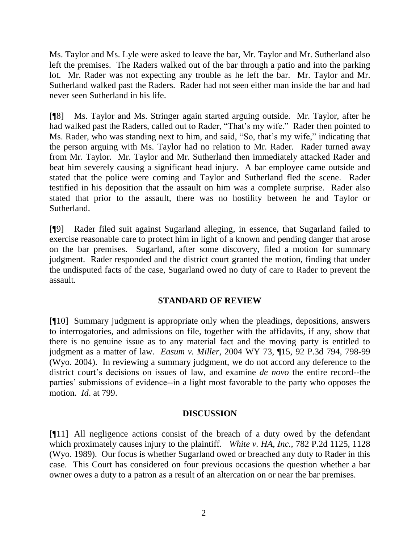Ms. Taylor and Ms. Lyle were asked to leave the bar, Mr. Taylor and Mr. Sutherland also left the premises. The Raders walked out of the bar through a patio and into the parking lot. Mr. Rader was not expecting any trouble as he left the bar. Mr. Taylor and Mr. Sutherland walked past the Raders. Rader had not seen either man inside the bar and had never seen Sutherland in his life.

[¶8] Ms. Taylor and Ms. Stringer again started arguing outside. Mr. Taylor, after he had walked past the Raders, called out to Rader, "That's my wife." Rader then pointed to Ms. Rader, who was standing next to him, and said, "So, that's my wife," indicating that the person arguing with Ms. Taylor had no relation to Mr. Rader. Rader turned away from Mr. Taylor. Mr. Taylor and Mr. Sutherland then immediately attacked Rader and beat him severely causing a significant head injury. A bar employee came outside and stated that the police were coming and Taylor and Sutherland fled the scene. Rader testified in his deposition that the assault on him was a complete surprise. Rader also stated that prior to the assault, there was no hostility between he and Taylor or Sutherland.

[¶9] Rader filed suit against Sugarland alleging, in essence, that Sugarland failed to exercise reasonable care to protect him in light of a known and pending danger that arose on the bar premises. Sugarland, after some discovery, filed a motion for summary judgment. Rader responded and the district court granted the motion, finding that under the undisputed facts of the case, Sugarland owed no duty of care to Rader to prevent the assault.

# **STANDARD OF REVIEW**

[¶10] Summary judgment is appropriate only when the pleadings, depositions, answers to interrogatories, and admissions on file, together with the affidavits, if any, show that there is no genuine issue as to any material fact and the moving party is entitled to judgment as a matter of law. *Easum v. Miller*, 2004 WY 73, ¶15, 92 P.3d 794, 798-99 (Wyo. 2004). In reviewing a summary judgment, we do not accord any deference to the district court's decisions on issues of law, and examine *de novo* the entire record--the parties' submissions of evidence--in a light most favorable to the party who opposes the motion. *Id*. at 799.

## **DISCUSSION**

[¶11] All negligence actions consist of the breach of a duty owed by the defendant which proximately causes injury to the plaintiff. *White v. HA, Inc.,* 782 P.2d 1125, 1128 (Wyo. 1989). Our focus is whether Sugarland owed or breached any duty to Rader in this case. This Court has considered on four previous occasions the question whether a bar owner owes a duty to a patron as a result of an altercation on or near the bar premises.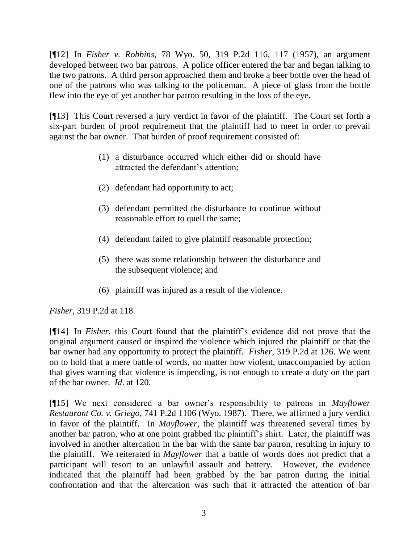[¶12] In *Fisher v. Robbins*, 78 Wyo. 50, 319 P.2d 116, 117 (1957), an argument developed between two bar patrons. A police officer entered the bar and began talking to the two patrons. A third person approached them and broke a beer bottle over the head of one of the patrons who was talking to the policeman. A piece of glass from the bottle flew into the eye of yet another bar patron resulting in the loss of the eye.

[¶13] This Court reversed a jury verdict in favor of the plaintiff. The Court set forth a six-part burden of proof requirement that the plaintiff had to meet in order to prevail against the bar owner. That burden of proof requirement consisted of:

- (1) a disturbance occurred which either did or should have attracted the defendant's attention;
- (2) defendant had opportunity to act;
- (3) defendant permitted the disturbance to continue without reasonable effort to quell the same;
- (4) defendant failed to give plaintiff reasonable protection;
- (5) there was some relationship between the disturbance and the subsequent violence; and
- (6) plaintiff was injured as a result of the violence.

*Fisher,* 319 P.2d at 118.

[¶14] In *Fisher*, this Court found that the plaintiff's evidence did not prove that the original argument caused or inspired the violence which injured the plaintiff or that the bar owner had any opportunity to protect the plaintiff. *Fisher,* 319 P.2d at 126. We went on to hold that a mere battle of words, no matter how violent, unaccompanied by action that gives warning that violence is impending, is not enough to create a duty on the part of the bar owner. *Id*. at 120.

[¶15] We next considered a bar owner's responsibility to patrons in *Mayflower Restaurant Co. v. Griego*, 741 P.2d 1106 (Wyo. 1987). There, we affirmed a jury verdict in favor of the plaintiff. In *Mayflower,* the plaintiff was threatened several times by another bar patron, who at one point grabbed the plaintiff's shirt. Later, the plaintiff was involved in another altercation in the bar with the same bar patron, resulting in injury to the plaintiff. We reiterated in *Mayflower* that a battle of words does not predict that a participant will resort to an unlawful assault and battery. However, the evidence indicated that the plaintiff had been grabbed by the bar patron during the initial confrontation and that the altercation was such that it attracted the attention of bar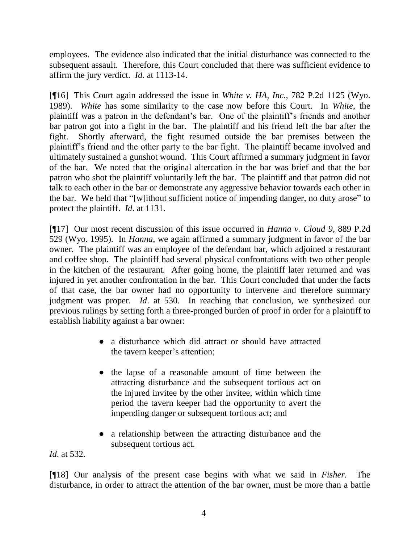employees. The evidence also indicated that the initial disturbance was connected to the subsequent assault. Therefore, this Court concluded that there was sufficient evidence to affirm the jury verdict. *Id*. at 1113-14.

[¶16] This Court again addressed the issue in *White v. HA, Inc.,* 782 P.2d 1125 (Wyo. 1989). *White* has some similarity to the case now before this Court. In *White*, the plaintiff was a patron in the defendant's bar. One of the plaintiff's friends and another bar patron got into a fight in the bar. The plaintiff and his friend left the bar after the fight. Shortly afterward, the fight resumed outside the bar premises between the plaintiff's friend and the other party to the bar fight. The plaintiff became involved and ultimately sustained a gunshot wound. This Court affirmed a summary judgment in favor of the bar. We noted that the original altercation in the bar was brief and that the bar patron who shot the plaintiff voluntarily left the bar. The plaintiff and that patron did not talk to each other in the bar or demonstrate any aggressive behavior towards each other in the bar. We held that "[w]ithout sufficient notice of impending danger, no duty arose" to protect the plaintiff. *Id*. at 1131.

[¶17] Our most recent discussion of this issue occurred in *Hanna v. Cloud 9,* 889 P.2d 529 (Wyo. 1995). In *Hanna*, we again affirmed a summary judgment in favor of the bar owner. The plaintiff was an employee of the defendant bar, which adjoined a restaurant and coffee shop. The plaintiff had several physical confrontations with two other people in the kitchen of the restaurant. After going home, the plaintiff later returned and was injured in yet another confrontation in the bar. This Court concluded that under the facts of that case, the bar owner had no opportunity to intervene and therefore summary judgment was proper. *Id*. at 530. In reaching that conclusion, we synthesized our previous rulings by setting forth a three-pronged burden of proof in order for a plaintiff to establish liability against a bar owner:

- a disturbance which did attract or should have attracted the tavern keeper's attention;
- the lapse of a reasonable amount of time between the attracting disturbance and the subsequent tortious act on the injured invitee by the other invitee, within which time period the tavern keeper had the opportunity to avert the impending danger or subsequent tortious act; and
- a relationship between the attracting disturbance and the subsequent tortious act.

*Id*. at 532.

[¶18] Our analysis of the present case begins with what we said in *Fisher.* The disturbance, in order to attract the attention of the bar owner, must be more than a battle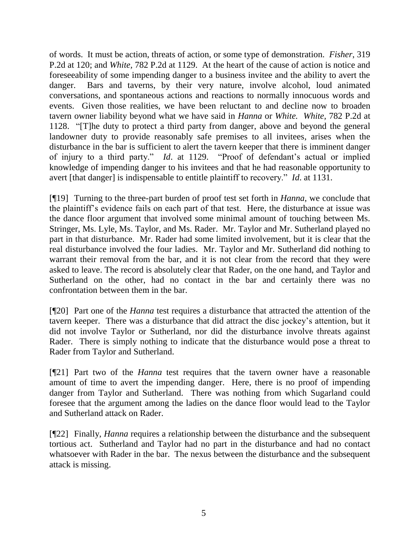of words. It must be action, threats of action, or some type of demonstration. *Fisher*, 319 P.2d at 120; and *White,* 782 P.2d at 1129. At the heart of the cause of action is notice and foreseeability of some impending danger to a business invitee and the ability to avert the danger. Bars and taverns, by their very nature, involve alcohol, loud animated conversations, and spontaneous actions and reactions to normally innocuous words and events. Given those realities, we have been reluctant to and decline now to broaden tavern owner liability beyond what we have said in *Hanna* or *White. White,* 782 P.2d at 1128. "[T]he duty to protect a third party from danger, above and beyond the general landowner duty to provide reasonably safe premises to all invitees, arises when the disturbance in the bar is sufficient to alert the tavern keeper that there is imminent danger of injury to a third party." *Id*. at 1129. "Proof of defendant's actual or implied knowledge of impending danger to his invitees and that he had reasonable opportunity to avert [that danger] is indispensable to entitle plaintiff to recovery." *Id*. at 1131.

[¶19] Turning to the three-part burden of proof test set forth in *Hanna*, we conclude that the plaintiff's evidence fails on each part of that test. Here, the disturbance at issue was the dance floor argument that involved some minimal amount of touching between Ms. Stringer, Ms. Lyle, Ms. Taylor, and Ms. Rader. Mr. Taylor and Mr. Sutherland played no part in that disturbance. Mr. Rader had some limited involvement, but it is clear that the real disturbance involved the four ladies. Mr. Taylor and Mr. Sutherland did nothing to warrant their removal from the bar, and it is not clear from the record that they were asked to leave. The record is absolutely clear that Rader, on the one hand, and Taylor and Sutherland on the other, had no contact in the bar and certainly there was no confrontation between them in the bar.

[¶20] Part one of the *Hanna* test requires a disturbance that attracted the attention of the tavern keeper. There was a disturbance that did attract the disc jockey's attention, but it did not involve Taylor or Sutherland, nor did the disturbance involve threats against Rader. There is simply nothing to indicate that the disturbance would pose a threat to Rader from Taylor and Sutherland.

[¶21] Part two of the *Hanna* test requires that the tavern owner have a reasonable amount of time to avert the impending danger. Here, there is no proof of impending danger from Taylor and Sutherland. There was nothing from which Sugarland could foresee that the argument among the ladies on the dance floor would lead to the Taylor and Sutherland attack on Rader.

[¶22] Finally, *Hanna* requires a relationship between the disturbance and the subsequent tortious act. Sutherland and Taylor had no part in the disturbance and had no contact whatsoever with Rader in the bar. The nexus between the disturbance and the subsequent attack is missing.